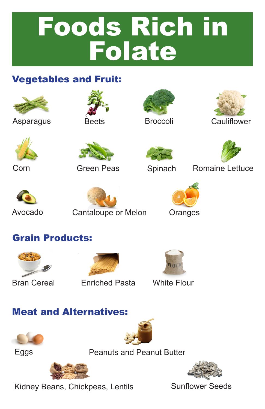# Foods Rich in **Folate**

#### Vegetables and Fruit:















Corn Green Peas Spinach Romaine Lettuce





Avocado Cantaloupe or Melon Oranges



### Grain Products:







Bran Cereal Enriched Pasta White Flour

#### Meat and Alternatives:





Eggs **Peanuts and Peanut Butter** 



Kidney Beans, Chickpeas, Lentils Sunflower Seeds